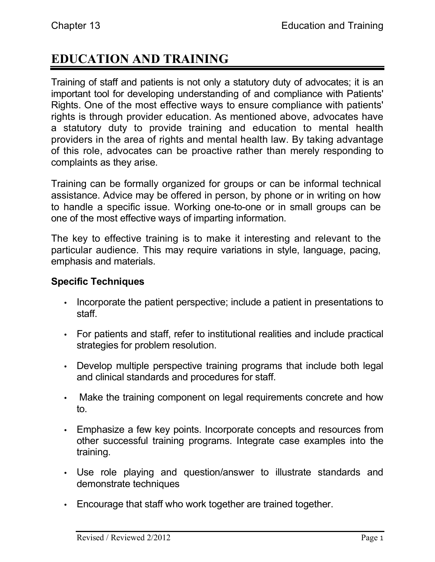# **EDUCATION AND TRAINING**

Training of staff and patients is not only a statutory duty of advocates; it is an important tool for developing understanding of and compliance with Patients' Rights. One of the most effective ways to ensure compliance with patients' rights is through provider education. As mentioned above, advocates have a statutory duty to provide training and education to mental health providers in the area of rights and mental health law. By taking advantage of this role, advocates can be proactive rather than merely responding to complaints as they arise.

Training can be formally organized for groups or can be informal technical assistance. Advice may be offered in person, by phone or in writing on how to handle a specific issue. Working one-to-one or in small groups can be one of the most effective ways of imparting information.

The key to effective training is to make it interesting and relevant to the particular audience. This may require variations in style, language, pacing, emphasis and materials.

## **Specific Techniques**

- Incorporate the patient perspective; include a patient in presentations to staff.
- For patients and staff, refer to institutional realities and include practical strategies for problem resolution.
- Develop multiple perspective training programs that include both legal and clinical standards and procedures for staff.
- Make the training component on legal requirements concrete and how to.
- Emphasize a few key points. Incorporate concepts and resources from other successful training programs. Integrate case examples into the training.
- Use role playing and question/answer to illustrate standards and demonstrate techniques
- Encourage that staff who work together are trained together.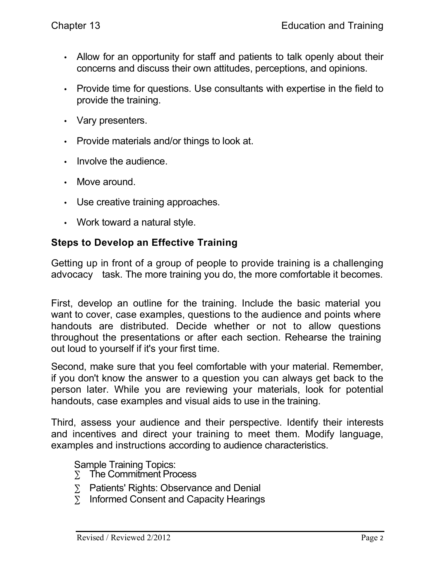- Allow for an opportunity for staff and patients to talk openly about their concerns and discuss their own attitudes, perceptions, and opinions.
- Provide time for questions. Use consultants with expertise in the field to provide the training.
- Vary presenters.
- Provide materials and/or things to look at.
- Involve the audience.
- Move around.
- Use creative training approaches.
- Work toward a natural style.

## **Steps to Develop an Effective Training**

Getting up in front of a group of people to provide training is a challenging advocacy task. The more training you do, the more comfortable it becomes.

First, develop an outline for the training. Include the basic material you want to cover, case examples, questions to the audience and points where handouts are distributed. Decide whether or not to allow questions throughout the presentations or after each section. Rehearse the training out loud to yourself if it's your first time.

Second, make sure that you feel comfortable with your material. Remember, if you don't know the answer to a question you can always get back to the person later. While you are reviewing your materials, look for potential handouts, case examples and visual aids to use in the training.

Third, assess your audience and their perspective. Identify their interests and incentives and direct your training to meet them. Modify language, examples and instructions according to audience characteristics.

Sample Training Topics:

- $\Sigma$  The Commitment Process
- ∑ Patients' Rights: Observance and Denial
- ∑ Informed Consent and Capacity Hearings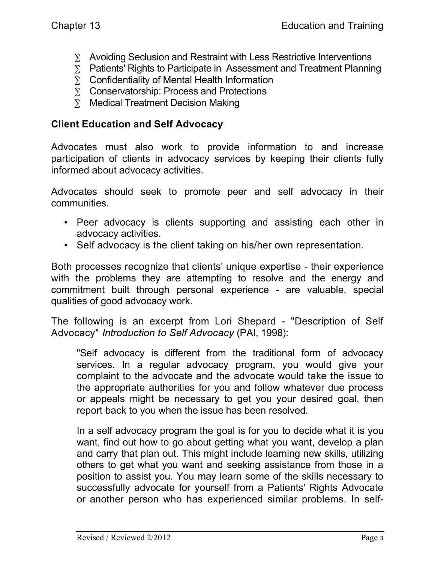- 
- ∑ Avoiding Seclusion and Restraint with Less Restrictive Interventions<br>
∑ Patients' Rights to Participate in Assessment and Treatment Plannin<br>
∑ Confidentiality of Mental Health Information<br>
∑ Conservatorship: Process and ∑ Patients' Rights to Participate in Assessment and Treatment Planning
- ∑ Confidentiality of Mental Health Information
- ∑ Conservatorship: Process and Protections
- ∑ Medical Treatment Decision Making

### **Client Education and Self Advocacy**

Advocates must also work to provide information to and increase participation of clients in advocacy services by keeping their clients fully informed about advocacy activities.

Advocates should seek to promote peer and self advocacy in their communities.

- Peer advocacy is clients supporting and assisting each other in advocacy activities.
- Self advocacy is the client taking on his/her own representation.

Both processes recognize that clients' unique expertise - their experience with the problems they are attempting to resolve and the energy and commitment built through personal experience - are valuable, special qualities of good advocacy work.

The following is an excerpt from Lori Shepard - "Description of Self Advocacy" *Introduction to Self Advocacy* (PAI, 1998):

"Self advocacy is different from the traditional form of advocacy services. In a regular advocacy program, you would give your complaint to the advocate and the advocate would take the issue to the appropriate authorities for you and follow whatever due process or appeals might be necessary to get you your desired goal, then report back to you when the issue has been resolved.

In a self advocacy program the goal is for you to decide what it is you want, find out how to go about getting what you want, develop a plan and carry that plan out. This might include learning new skills, utilizing others to get what you want and seeking assistance from those in a position to assist you. You may learn some of the skills necessary to successfully advocate for yourself from a Patients' Rights Advocate or another person who has experienced similar problems. In self-